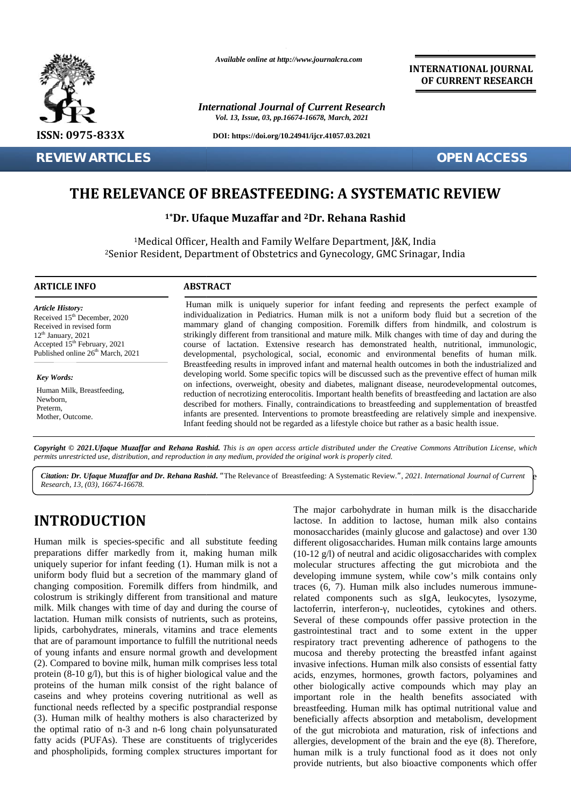

**REVIEW ARTICLES OPEN ACCESS**

*Available online at http://www.journalcra.com*

*International Journal of Current Research Vol. 13, Issue, 03, pp.16674-16678, March, 2021*

**DOI: https://doi.org/10.24941/ijcr.41057.03.2021**

**INTERNATIONAL JOURNAL OF CURRENT RESEARCH**

## **THE RELEVANCE OF BREASTFEEDING: A SYSTEMATIC REVIEW THE**

**1\*Dr. Ufaque Muzaffar and <sup>2</sup>Dr. Rehana Rashid and**

<sup>1</sup>Medical Officer, Health and Family Welfare Department, J&K, India <sup>2</sup>Senior Resident, Department of Obstetrics and Gynecology, GMC Srinagar, India

#### **ARTICLE INFO ABSTRACT ARTICLE ABSTRACT**

*Article History: Article History:* Received  $15<sup>th</sup>$  December, 2020 Received 15 December, 2020<br>Received in revised form  $12<sup>th</sup>$  January, 2021 Received in revised form<br>  $12^{\text{th}}$  January, 2021 st<br>
Accepted 15<sup>th</sup> February, 2021 co Published online  $26<sup>th</sup>$  March, 2021 **REVIEW ARTICLES**<br> **THE RELEVANCE OF**<br>
<sup>1</sup>**Pr. Ufact 1<sup>8</sup><br>
<sup>1</sup> Medical Officer,<br>
<sup>2</sup> Senior Resident, Depart<br>
<b>ARTICLE INFO**<br> **ARTICLE INFO**<br> **ARTICLE INFO**<br> **ARTICLE INFO**<br> **ARTICLE INFO**<br> **ARTICLE INFO**<br> **ARTICLE INFO**<br>

*Key Words:* Human Milk, Breastfeeding, Newborn, Preterm, Mother, Outcome.

Human milk is uniquely superior for infant feeding and represents the perfect example of individualization in Pediatrics. Human milk is not a uniform body fluid but a secretion of the Human milk is uniquely superior for infant feeding and represents the perfect example of individualization in Pediatrics. Human milk is not a uniform body fluid but a secretion of the mammary gland of changing composition. strikingly different from transitional and mature milk. Milk changes with time of day and during the course of lactation. Extensive research has demonstrated health, nutritional, immunologic, developmental, psychological, social, economic and environmental benefits of human milk. Breastfeeding results in improved infant and maternal health outcomes in both the industrialized and developing world. Some specific topics will be discussed such as the preventive effect of human milk on infections, overweight, obesity and diabetes, malignant disease, neurodevelopmental outcomes, reduction of necrotizing enterocolitis. Important health benefits of breastfeeding and lactation are also described for mothers. Finally, contraindications to breastfeeding and supplementation of breastfed infants are presented. Interventions to promote breastfeeding are relatively simple and inexpensive. Infant feeding should not be regarded as a lifestyle choice but rather as a basic health issue. strikingly different from transitional and mature milk. Milk changes with time of day and during the course of lactation. Extensive research has demonstrated health, nutritional, immunologic, developmental, psychological, described for mothers. Finally, contraindications to breastfeeding and supplementation of bre<br>infants are presented. Interventions to promote breastfeeding are relatively simple and inexpe<br>Infant feeding should not be rega <p>\n A. 2011. <i>W</i> = 2021. <i>U</i> = 2021. <i>U</i> = 2021. <i>U</i> = 2021. <i>U</i> = 2021. <i>U</i> = 2021. <i>U</i> = 2021. <i>U</i> = 2021. <i>U</i> = 2021. <i>U</i> = 2021. <i>U</i> = 2021. <i>U</i> = 2021. <i>U</i> = 2021. <i>U</i> = 2021. <i>U</i> = 202 **1\*Dr. Ufaque Muza:**<br>
<sup>1</sup>Medical Officer, Health and<br>
<sup>2</sup>Senior Resident, Department of Ol<br> **INFO**<br> **ABSTRACT**<br> **EXECUTE:**<br> **EXECUTE:**<br> **EXECUTE:**<br> **EXECUTE:**<br> **EXECUTE:**<br> **EXECUTE:**<br> **EXECUTE:**<br> **EXECUTE:**<br> **EXECUTE:**<br> **E** 

Copyright © 2021. Ufaque Muzaffar and Rehana Rashid. This is an open access article distributed under the Creative Commons Attribution License, which **Copyright © 2021.Ufaque Muzaffar and Rehana Rashid.** This is an open access article distributed under the Crea<br>permits unrestricted use, distribution, and reproduction in any medium, provided the original work is properly

Citation: Dr. Ufaque Muzaffar and Dr. Rehana Rashid. "The Relevance of Breastfeeding: A Systematic Review.", 2021. International Journal of Current b *Research, 13, (03), 16674-16678.*

# **INTRODUCTION INTRODUCTION**

Human milk is species-specific and all substitute feeding preparations differ markedly from it, making human milk uniquely superior for infant feeding (1). Human milk is not a uniform body fluid but a secretion of the mammary gland of changing composition. Foremilk differs from hindmilk, and colostrum is strikingly different from transitional and mature milk. Milk changes with time of day and during the course of lactation. Human milk consists of nutrients, such as proteins, lipids, carbohydrates, minerals, vitamins and trace elements that are of paramount importance to fulfill the nutritional needs lipids, carbohydrates, minerals, vitamins and trace elements<br>that are of paramount importance to fulfill the nutritional needs<br>of young infants and ensure normal growth and development (2). Compared to bovine milk, human milk comprises less total protein (8-10 g/l), but this is of higher biological value and the proteins of the human milk consist of the right balance of caseins and whey proteins covering nutritional as well as functional needs reflected by a specific postprandial response (3). Human milk of healthy mothers is also characterized by the optimal ratio of n-3 and n-6 long chain polyunsaturated fatty acids (PUFAs). These are constituents of triglycerides and phospholipids, forming complex structures important for Human milk is species-specific and all substitute feeding<br>preparations differ markedly from it, making human milk<br>uniquely superior for infant feeding (1). Human milk is not a<br>uniform body fluid but a secretion of the mamm

The major carbohydrate in human milk is the disaccharide lactose. In addition to lactose, human milk also contains monosaccharides (mainly glucose and galactose) and over 130 different oligosaccharides. Human milk contains large amounts (10-12 g/l) of neutral and acidic oligosaccharides with complex molecular structures affecting the gut microbiota and the developing immune system, while cow's milk contains only traces (6, 7). Human milk also includes numerous immunerelated components such as sIgA, leukocytes, lysozyme, lactoferrin, interferon-, nucleotides, cytokines and others. Several of these compounds offer passive protection in the gastrointestinal tract and to some extent in the upper respiratory tract preventing adherence of pathogens to the mucosa and thereby protecting the breastfed infant against invasive infections. Human milk also consists of essential fatty acids, enzymes, hormones, growth factors, polyamines and other biologically active compounds which may play an important role in the health benefits associated with breastfeeding. Human milk has optimal nutritional value and beneficially affects absorption and metabolism, development of the gut microbiota and maturation, risk of infections and allergies, development of the brain and the eye (8). Therefore, human milk is a truly functional food as it does not only provide nutrients, but also bioactive components which offer Channel D. Happe Muzylle and Dr. Rehans Rashid. "The Relevance of Beastfeeding: A Systematic Review.", 2021. International Journal of Current is Research, 13, (03), 16674-16678.<br>
The major carbohydrate in human milk is th ne, 2011 initialization in Pediatrics. Human milk is not at uniform both that a secure material policies from both the state of the state of the state of the state of the state of the state of the state of the state of th g/l) of<br>lar string in<br>tiong in (6, 7).<br>comp<br>rin, it of the thestina<br>tory trande infection<br>ande infection<br>biologin<br>to reeding.<br>ially a gut min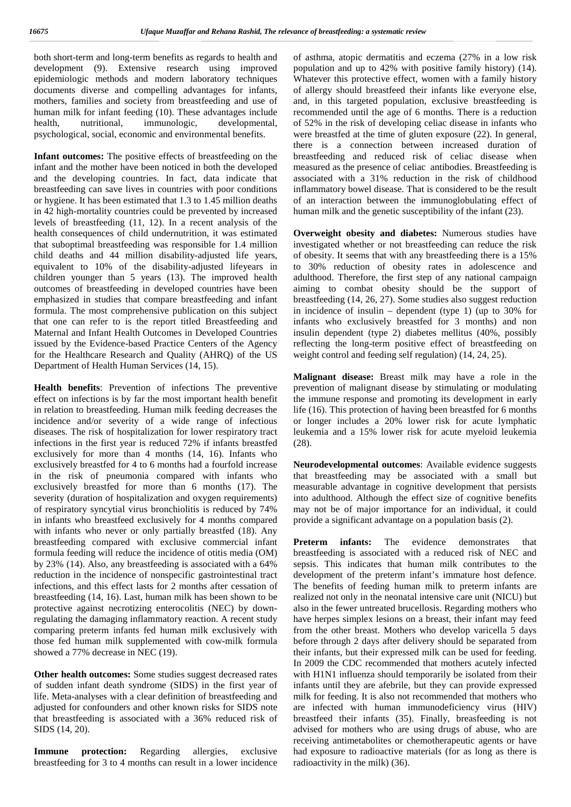both short-term and long-term benefits as regards to health and development (9). Extensive research using improved epidemiologic methods and modern laboratory techniques documents diverse and compelling advantages for infants, mothers, families and society from breastfeeding and use of human milk for infant feeding (10). These advantages include health, nutritional, immunologic, developmental, psychological, social, economic and environmental benefits.

**Infant outcomes:** The positive effects of breastfeeding on the infant and the mother have been noticed in both the developed and the developing countries. In fact, data indicate that breastfeeding can save lives in countries with poor conditions or hygiene. It has been estimated that 1.3 to 1.45 million deaths in 42 high-mortality countries could be prevented by increased levels of breastfeeding (11, 12). In a recent analysis of the health consequences of child undernutrition, it was estimated that suboptimal breastfeeding was responsible for 1.4 million child deaths and 44 million disability-adjusted life years, equivalent to 10% of the disability-adjusted lifeyears in children younger than 5 years (13). The improved health outcomes of breastfeeding in developed countries have been emphasized in studies that compare breastfeeding and infant formula. The most comprehensive publication on this subject that one can refer to is the report titled Breastfeeding and Maternal and Infant Health Outcomes in Developed Countries issued by the Evidence-based Practice Centers of the Agency for the Healthcare Research and Quality (AHRQ) of the US Department of Health Human Services (14, 15).

**Health benefits**: Prevention of infections The preventive effect on infections is by far the most important health benefit in relation to breastfeeding. Human milk feeding decreases the incidence and/or severity of a wide range of infectious diseases. The risk of hospitalization for lower respiratory tract infections in the first year is reduced 72% if infants breastfed exclusively for more than 4 months (14, 16). Infants who exclusively breastfed for 4 to 6 months had a fourfold increase in the risk of pneumonia compared with infants who exclusively breastfed for more than 6 months (17). The severity (duration of hospitalization and oxygen requirements) of respiratory syncytial virus bronchiolitis is reduced by 74% in infants who breastfeed exclusively for 4 months compared with infants who never or only partially breastfed (18). Any breastfeeding compared with exclusive commercial infant formula feeding will reduce the incidence of otitis media (OM) by 23% (14). Also, any breastfeeding is associated with a 64% reduction in the incidence of nonspecific gastrointestinal tract infections, and this effect lasts for 2 months after cessation of breastfeeding (14, 16). Last, human milk has been shown to be protective against necrotizing enterocolitis (NEC) by downregulating the damaging inflammatory reaction. A recent study comparing preterm infants fed human milk exclusively with those fed human milk supplemented with cow-milk formula showed a 77% decrease in NEC (19).

**Other health outcomes:** Some studies suggest decreased rates of sudden infant death syndrome (SIDS) in the first year of life. Meta-analyses with a clear definition of breastfeeding and adjusted for confounders and other known risks for SIDS note that breastfeeding is associated with a 36% reduced risk of SIDS (14, 20).

**Immune protection:** Regarding allergies, exclusive breastfeeding for 3 to 4 months can result in a lower incidence of asthma, atopic dermatitis and eczema (27% in a low risk population and up to 42% with positive family history) (14). Whatever this protective effect, women with a family history of allergy should breastfeed their infants like everyone else, and, in this targeted population, exclusive breastfeeding is recommended until the age of 6 months. There is a reduction of 52% in the risk of developing celiac disease in infants who were breastfed at the time of gluten exposure (22). In general, there is a connection between increased duration of breastfeeding and reduced risk of celiac disease when measured as the presence of celiac antibodies. Breastfeeding is associated with a 31% reduction in the risk of childhood inflammatory bowel disease. That is considered to be the result of an interaction between the immunoglobulating effect of human milk and the genetic susceptibility of the infant (23).

**Overweight obesity and diabetes:** Numerous studies have investigated whether or not breastfeeding can reduce the risk of obesity. It seems that with any breastfeeding there is a 15% to 30% reduction of obesity rates in adolescence and adulthood. Therefore, the first step of any national campaign aiming to combat obesity should be the support of breastfeeding (14, 26, 27). Some studies also suggest reduction in incidence of insulin – dependent (type 1) (up to  $30\%$  for infants who exclusively breastfed for 3 months) and non insulin dependent (type 2) diabetes mellitus (40%, possibly reflecting the long-term positive effect of breastfeeding on weight control and feeding self regulation) (14, 24, 25).

**Malignant disease:** Breast milk may have a role in the prevention of malignant disease by stimulating or modulating the immune response and promoting its development in early life (16). This protection of having been breastfed for 6 months or longer includes a 20% lower risk for acute lymphatic leukemia and a 15% lower risk for acute myeloid leukemia (28).

**Neurodevelopmental outcomes**: Available evidence suggests that breastfeeding may be associated with a small but measurable advantage in cognitive development that persists into adulthood. Although the effect size of cognitive benefits may not be of major importance for an individual, it could provide a significant advantage on a population basis (2).

**infants:** The evidence demonstrates that breastfeeding is associated with a reduced risk of NEC and sepsis. This indicates that human milk contributes to the development of the preterm infant's immature host defence. The benefits of feeding human milk to preterm infants are realized not only in the neonatal intensive care unit (NICU) but also in the fewer untreated brucellosis. Regarding mothers who have herpes simplex lesions on a breast, their infant may feed from the other breast. Mothers who develop varicella 5 days before through 2 days after delivery should be separated from their infants, but their expressed milk can be used for feeding. In 2009 the CDC recommended that mothers acutely infected with H1N1 influenza should temporarily be isolated from their infants until they are afebrile, but they can provide expressed milk for feeding. It is also not recommended that mothers who are infected with human immunodeficiency virus (HIV) breastfeed their infants (35). Finally, breasfeeding is not advised for mothers who are using drugs of abuse, who are receiving antimetabolites or chemotherapeutic agents or have had exposure to radioactive materials (for as long as there is radioactivity in the milk) (36).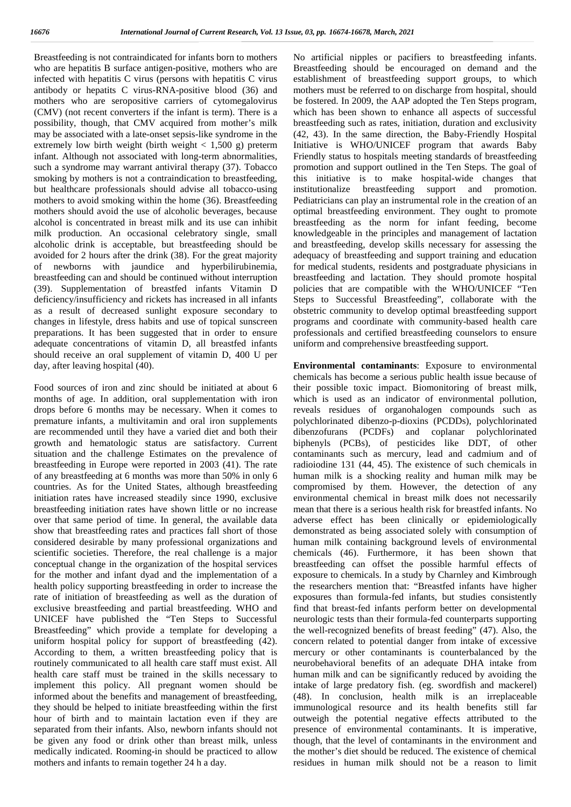Breastfeeding is not contraindicated for infants born to mothers who are hepatitis B surface antigen-positive, mothers who are infected with hepatitis C virus (persons with hepatitis C virus antibody or hepatits C virus-RNA-positive blood (36) and mothers who are seropositive carriers of cytomegalovirus (CMV) (not recent converters if the infant is term). There is a possibility, though, that CMV acquired from mother's milk may be associated with a late-onset sepsis-like syndrome in the extremely low birth weight (birth weight  $\langle 1.500 \text{ g} \rangle$ ) preterm infant. Although not associated with long-term abnormalities, such a syndrome may warrant antiviral therapy (37). Tobacco smoking by mothers is not a contraindication to breastfeeding, but healthcare professionals should advise all tobacco-using mothers to avoid smoking within the home (36). Breastfeeding mothers should avoid the use of alcoholic beverages, because alcohol is concentrated in breast milk and its use can inhibit milk production. An occasional celebratory single, small alcoholic drink is acceptable, but breastfeeding should be avoided for 2 hours after the drink (38). For the great majority of newborns with jaundice and hyperbilirubinemia, breastfeeding can and should be continued without interruption (39). Supplementation of breastfed infants Vitamin D deficiency/insufficiency and rickets has increased in all infants as a result of decreased sunlight exposure secondary to changes in lifestyle, dress habits and use of topical sunscreen preparations. It has been suggested that in order to ensure adequate concentrations of vitamin D, all breastfed infants should receive an oral supplement of vitamin D, 400 U per day, after leaving hospital (40).

Food sources of iron and zinc should be initiated at about 6 months of age. In addition, oral supplementation with iron drops before 6 months may be necessary. When it comes to premature infants, a multivitamin and oral iron supplements are recommended until they have a varied diet and both their growth and hematologic status are satisfactory. Current situation and the challenge Estimates on the prevalence of breastfeeding in Europe were reported in 2003 (41). The rate of any breastfeeding at 6 months was more than 50% in only 6 countries. As for the United States, although breastfeeding initiation rates have increased steadily since 1990, exclusive breastfeeding initiation rates have shown little or no increase over that same period of time. In general, the available data show that breastfeeding rates and practices fall short of those considered desirable by many professional organizations and scientific societies. Therefore, the real challenge is a major conceptual change in the organization of the hospital services for the mother and infant dyad and the implementation of a health policy supporting breastfeeding in order to increase the rate of initiation of breastfeeding as well as the duration of exclusive breastfeeding and partial breastfeeding. WHO and UNICEF have published the "Ten Steps to Successful Breastfeeding" which provide a template for developing a uniform hospital policy for support of breastfeeding (42). According to them, a written breastfeeding policy that is routinely communicated to all health care staff must exist. All health care staff must be trained in the skills necessary to implement this policy. All pregnant women should be informed about the benefits and management of breastfeeding, they should be helped to initiate breastfeeding within the first hour of birth and to maintain lactation even if they are separated from their infants. Also, newborn infants should not be given any food or drink other than breast milk, unless medically indicated. Rooming-in should be practiced to allow mothers and infants to remain together 24 h a day.

No artificial nipples or pacifiers to breastfeeding infants. Breastfeeding should be encouraged on demand and the establishment of breastfeeding support groups, to which mothers must be referred to on discharge from hospital, should be fostered. In 2009, the AAP adopted the Ten Steps program, which has been shown to enhance all aspects of successful breastfeeding such as rates, initiation, duration and exclusivity (42, 43). In the same direction, the Baby-Friendly Hospital Initiative is WHO/UNICEF program that awards Baby Friendly status to hospitals meeting standards of breastfeeding promotion and support outlined in the Ten Steps. The goal of this initiative is to make hospital-wide changes that institutionalize breastfeeding support and promotion. Pediatricians can play an instrumental role in the creation of an optimal breastfeeding environment. They ought to promote breastfeeding as the norm for infant feeding, become knowledgeable in the principles and management of lactation and breastfeeding, develop skills necessary for assessing the adequacy of breastfeeding and support training and education for medical students, residents and postgraduate physicians in breastfeeding and lactation. They should promote hospital policies that are compatible with the WHO/UNICEF "Ten Steps to Successful Breastfeeding", collaborate with the obstetric community to develop optimal breastfeeding support programs and coordinate with community-based health care professionals and certified breastfeeding counselors to ensure uniform and comprehensive breastfeeding support.

**Environmental contaminants**: Exposure to environmental chemicals has become a serious public health issue because of their possible toxic impact. Biomonitoring of breast milk, which is used as an indicator of environmental pollution, reveals residues of organohalogen compounds such as polychlorinated dibenzo-p-dioxins (PCDDs), polychlorinated dibenzofurans (PCDFs) and coplanar polychlorinated biphenyls (PCBs), of pesticides like DDT, of other contaminants such as mercury, lead and cadmium and of radioiodine 131 (44, 45). The existence of such chemicals in human milk is a shocking reality and human milk may be compromised by them. However, the detection of any environmental chemical in breast milk does not necessarily mean that there is a serious health risk for breastfed infants. No adverse effect has been clinically or epidemiologically demonstrated as being associated solely with consumption of human milk containing background levels of environmental chemicals (46). Furthermore, it has been shown that breastfeeding can offset the possible harmful effects of exposure to chemicals. In a study by Charnley and Kimbrough the researchers mention that: "Breastfed infants have higher exposures than formula-fed infants, but studies consistently find that breast-fed infants perform better on developmental neurologic tests than their formula-fed counterparts supporting the well-recognized benefits of breast feeding" (47). Also, the concern related to potential danger from intake of excessive mercury or other contaminants is counterbalanced by the neurobehavioral benefits of an adequate DHA intake from human milk and can be significantly reduced by avoiding the intake of large predatory fish. (eg. swordfish and mackerel) (48). In conclusion, health milk is an irreplaceable immunological resource and its health benefits still far outweigh the potential negative effects attributed to the presence of environmental contaminants. It is imperative, though, that the level of contaminants in the environment and the mother's diet should be reduced. The existence of chemical residues in human milk should not be a reason to limit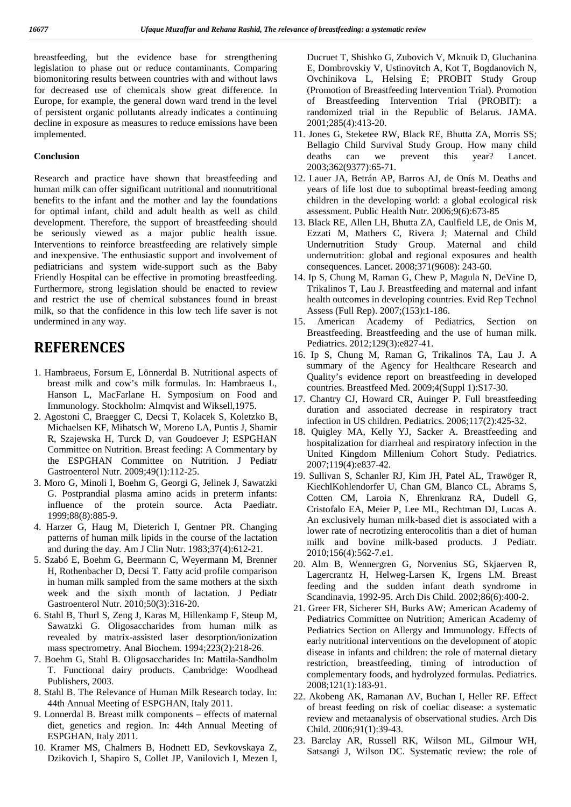breastfeeding, but the evidence base for strengthening legislation to phase out or reduce contaminants. Comparing biomonitoring results between countries with and without laws for decreased use of chemicals show great difference. In Europe, for example, the general down ward trend in the level of persistent organic pollutants already indicates a continuing decline in exposure as measures to reduce emissions have been implemented.

### **Conclusion**

Research and practice have shown that breastfeeding and human milk can offer significant nutritional and nonnutritional benefits to the infant and the mother and lay the foundations for optimal infant, child and adult health as well as child development. Therefore, the support of breastfeeding should be seriously viewed as a major public health issue. Interventions to reinforce breastfeeding are relatively simple and inexpensive. The enthusiastic support and involvement of pediatricians and system wide-support such as the Baby Friendly Hospital can be effective in promoting breastfeeding. Furthermore, strong legislation should be enacted to review and restrict the use of chemical substances found in breast milk, so that the confidence in this low tech life saver is not undermined in any way.

## **REFERENCES**

- 1. Hambraeus, Forsum E, Lönnerdal B. Nutritional aspects of breast milk and cow's milk formulas. In: Hambraeus L, Hanson L, MacFarlane H. Symposium on Food and Immunology. Stockholm: Almqvist and Wiksell,1975.
- 2. Agostoni C, Braegger C, Decsi T, Kolacek S, Koletzko B, Michaelsen KF, Mihatsch W, Moreno LA, Puntis J, Shamir R, Szajewska H, Turck D, van Goudoever J; ESPGHAN Committee on Nutrition. Breast feeding: A Commentary by the ESPGHAN Committee on Nutrition. J Pediatr Gastroenterol Nutr. 2009;49(1):112-25.
- 3. Moro G, Minoli I, Boehm G, Georgi G, Jelinek J, Sawatzki G. Postprandial plasma amino acids in preterm infants: influence of the protein source. Acta Paediatr. 1999;88(8):885-9.
- 4. Harzer G, Haug M, Dieterich I, Gentner PR. Changing patterns of human milk lipids in the course of the lactation and during the day. Am J Clin Nutr. 1983;37(4):612-21.
- 5. Szabó E, Boehm G, Beermann C, Weyermann M, Brenner H, Rothenbacher D, Decsi T. Fatty acid profile comparison in human milk sampled from the same mothers at the sixth week and the sixth month of lactation. J Pediatr Gastroenterol Nutr. 2010;50(3):316-20.
- 6. Stahl B, Thurl S, Zeng J, Karas M, Hillenkamp F, Steup M, Sawatzki G. Oligosaccharides from human milk as revealed by matrix-assisted laser desorption/ionization mass spectrometry. Anal Biochem. 1994;223(2):218-26.
- 7. Boehm G, Stahl B. Oligosaccharides In: Mattila-Sandholm T. Functional dairy products. Cambridge: Woodhead Publishers, 2003.
- 8. Stahl B. The Relevance of Human Milk Research today. In: 44th Annual Meeting of ESPGHAN, Italy 2011.
- 9. Lonnerdal B. Breast milk components effects of maternal diet, genetics and region. In: 44th Annual Meeting of ESPGHAN, Italy 2011.
- 10. Kramer MS, Chalmers B, Hodnett ED, Sevkovskaya Z, Dzikovich I, Shapiro S, Collet JP, Vanilovich I, Mezen I,

Ducruet T, Shishko G, Zubovich V, Mknuik D, Gluchanina E, Dombrovskiy V, Ustinovitch A, Kot T, Bogdanovich N, Ovchinikova L, Helsing E; PROBIT Study Group (Promotion of Breastfeeding Intervention Trial). Promotion of Breastfeeding Intervention Trial (PROBIT): a randomized trial in the Republic of Belarus. JAMA. 2001;285(4):413-20.

- 11. Jones G, Steketee RW, Black RE, Bhutta ZA, Morris SS; Bellagio Child Survival Study Group. How many child deaths can we prevent this year? Lancet. 2003;362(9377):65-71.
- 12. Lauer JA, Betrán AP, Barros AJ, de Onís M. Deaths and years of life lost due to suboptimal breast-feeding among children in the developing world: a global ecological risk assessment. Public Health Nutr. 2006;9(6):673-85
- 13. Black RE, Allen LH, Bhutta ZA, Caulfield LE, de Onis M, Ezzati M, Mathers C, Rivera J; Maternal and Child Undernutrition Study Group. Maternal and child undernutrition: global and regional exposures and health consequences. Lancet. 2008;371(9608): 243-60.
- 14. Ip S, Chung M, Raman G, Chew P, Magula N, DeVine D, Trikalinos T, Lau J. Breastfeeding and maternal and infant health outcomes in developing countries. Evid Rep Technol Assess (Full Rep). 2007;(153):1-186.
- 15. American Academy of Pediatrics, Section on Breastfeeding. Breastfeeding and the use of human milk. Pediatrics. 2012;129(3):e827-41.
- 16. Ip S, Chung M, Raman G, Trikalinos TA, Lau J. A summary of the Agency for Healthcare Research and Quality's evidence report on breastfeeding in developed countries. Breastfeed Med. 2009;4(Suppl 1):S17-30.
- 17. Chantry CJ, Howard CR, Auinger P. Full breastfeeding duration and associated decrease in respiratory tract infection in US children. Pediatrics. 2006;117(2):425-32.
- 18. Quigley MA, Kelly YJ, Sacker A. Breastfeeding and hospitalization for diarrheal and respiratory infection in the United Kingdom Millenium Cohort Study. Pediatrics. 2007;119(4):e837-42.
- 19. Sullivan S, Schanler RJ, Kim JH, Patel AL, Trawöger R, KiechlKohlendorfer U, Chan GM, Blanco CL, Abrams S, Cotten CM, Laroia N, Ehrenkranz RA, Dudell G, Cristofalo EA, Meier P, Lee ML, Rechtman DJ, Lucas A. An exclusively human milk-based diet is associated with a lower rate of necrotizing enterocolitis than a diet of human milk and bovine milk-based products. J Pediatr. 2010;156(4):562-7.e1.
- 20. Alm B, Wennergren G, Norvenius SG, Skjaerven R, Lagercrantz H, Helweg-Larsen K, Irgens LM. Breast feeding and the sudden infant death syndrome in Scandinavia, 1992-95. Arch Dis Child. 2002;86(6):400-2.
- 21. Greer FR, Sicherer SH, Burks AW; American Academy of Pediatrics Committee on Nutrition; American Academy of Pediatrics Section on Allergy and Immunology. Effects of early nutritional interventions on the development of atopic disease in infants and children: the role of maternal dietary restriction, breastfeeding, timing of introduction of complementary foods, and hydrolyzed formulas. Pediatrics. 2008;121(1):183-91.
- 22. Akobeng AK, Ramanan AV, Buchan I, Heller RF. Effect of breast feeding on risk of coeliac disease: a systematic review and metaanalysis of observational studies. Arch Dis Child. 2006;91(1):39-43.
- 23. Barclay AR, Russell RK, Wilson ML, Gilmour WH, Satsangi J, Wilson DC. Systematic review: the role of